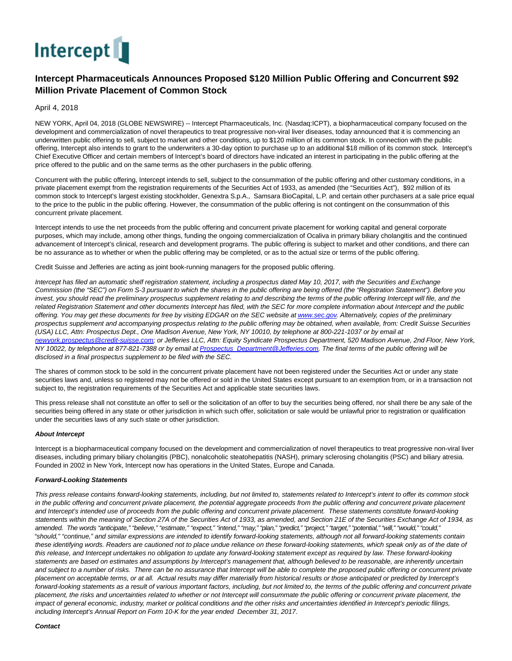

## **Intercept Pharmaceuticals Announces Proposed \$120 Million Public Offering and Concurrent \$92 Million Private Placement of Common Stock**

April 4, 2018

NEW YORK, April 04, 2018 (GLOBE NEWSWIRE) -- Intercept Pharmaceuticals, Inc. (Nasdaq:ICPT), a biopharmaceutical company focused on the development and commercialization of novel therapeutics to treat progressive non-viral liver diseases, today announced that it is commencing an underwritten public offering to sell, subject to market and other conditions, up to \$120 million of its common stock. In connection with the public offering, Intercept also intends to grant to the underwriters a 30-day option to purchase up to an additional \$18 million of its common stock. Intercept's Chief Executive Officer and certain members of Intercept's board of directors have indicated an interest in participating in the public offering at the price offered to the public and on the same terms as the other purchasers in the public offering.

Concurrent with the public offering, Intercept intends to sell, subject to the consummation of the public offering and other customary conditions, in a private placement exempt from the registration requirements of the Securities Act of 1933, as amended (the "Securities Act"), \$92 million of its common stock to Intercept's largest existing stockholder, Genextra S.p.A., Samsara BioCapital, L.P. and certain other purchasers at a sale price equal to the price to the public in the public offering. However, the consummation of the public offering is not contingent on the consummation of this concurrent private placement.

Intercept intends to use the net proceeds from the public offering and concurrent private placement for working capital and general corporate purposes, which may include, among other things, funding the ongoing commercialization of Ocaliva in primary biliary cholangitis and the continued advancement of Intercept's clinical, research and development programs. The public offering is subject to market and other conditions, and there can be no assurance as to whether or when the public offering may be completed, or as to the actual size or terms of the public offering.

Credit Suisse and Jefferies are acting as joint book-running managers for the proposed public offering.

Intercept has filed an automatic shelf registration statement, including a prospectus dated May 10, 2017, with the Securities and Exchange Commission (the "SEC") on Form S-3 pursuant to which the shares in the public offering are being offered (the "Registration Statement"). Before you invest, you should read the preliminary prospectus supplement relating to and describing the terms of the public offering Intercept will file, and the related Registration Statement and other documents Intercept has filed, with the SEC for more complete information about Intercept and the public offering. You may get these documents for free by visiting EDGAR on the SEC website a[t www.sec.gov.](http://www.sec.gov/) Alternatively, copies of the preliminary prospectus supplement and accompanying prospectus relating to the public offering may be obtained, when available, from: Credit Suisse Securities (USA) LLC, Attn: Prospectus Dept., One Madison Avenue, New York, NY 10010, by telephone at 800-221-1037 or by email at [newyork.prospectus@credit-suisse.com;](mailto:newyork.prospectus@credit-suisse.com) or Jefferies LLC, Attn: Equity Syndicate Prospectus Department, 520 Madison Avenue, 2nd Floor, New York, NY 10022, by telephone at 877-821-7388 or by email a[t Prospectus\\_Department@Jefferies.com.](mailto:Prospectus_Department@Jefferies.com) The final terms of the public offering will be disclosed in a final prospectus supplement to be filed with the SEC.

The shares of common stock to be sold in the concurrent private placement have not been registered under the Securities Act or under any state securities laws and, unless so registered may not be offered or sold in the United States except pursuant to an exemption from, or in a transaction not subject to, the registration requirements of the Securities Act and applicable state securities laws.

This press release shall not constitute an offer to sell or the solicitation of an offer to buy the securities being offered, nor shall there be any sale of the securities being offered in any state or other jurisdiction in which such offer, solicitation or sale would be unlawful prior to registration or qualification under the securities laws of any such state or other jurisdiction.

## **About Intercept**

Intercept is a biopharmaceutical company focused on the development and commercialization of novel therapeutics to treat progressive non-viral liver diseases, including primary biliary cholangitis (PBC), nonalcoholic steatohepatitis (NASH), primary sclerosing cholangitis (PSC) and biliary atresia. Founded in 2002 in New York, Intercept now has operations in the United States, Europe and Canada.

## **Forward-Looking Statements**

This press release contains forward-looking statements, including, but not limited to, statements related to Intercept's intent to offer its common stock in the public offering and concurrent private placement, the potential aggregate proceeds from the public offering and concurrent private placement and Intercept's intended use of proceeds from the public offering and concurrent private placement. These statements constitute forward-looking statements within the meaning of Section 27A of the Securities Act of 1933, as amended, and Section 21E of the Securities Exchange Act of 1934, as amended. The words "anticipate," "believe," "estimate," "expect," "intend," "may," "plan," "predict," "project," "target," "potential," "will," "would," "could," "should," "continue," and similar expressions are intended to identify forward-looking statements, although not all forward-looking statements contain these identifying words. Readers are cautioned not to place undue reliance on these forward-looking statements, which speak only as of the date of this release, and Intercept undertakes no obligation to update any forward-looking statement except as required by law. These forward-looking statements are based on estimates and assumptions by Intercept's management that, although believed to be reasonable, are inherently uncertain and subject to a number of risks. There can be no assurance that Intercept will be able to complete the proposed public offering or concurrent private placement on acceptable terms, or at all. Actual results may differ materially from historical results or those anticipated or predicted by Intercept's forward-looking statements as a result of various important factors, including, but not limited to, the terms of the public offering and concurrent private placement, the risks and uncertainties related to whether or not Intercept will consummate the public offering or concurrent private placement, the impact of general economic, industry, market or political conditions and the other risks and uncertainties identified in Intercept's periodic filings, including Intercept's Annual Report on Form 10-K for the year ended December 31, 2017.